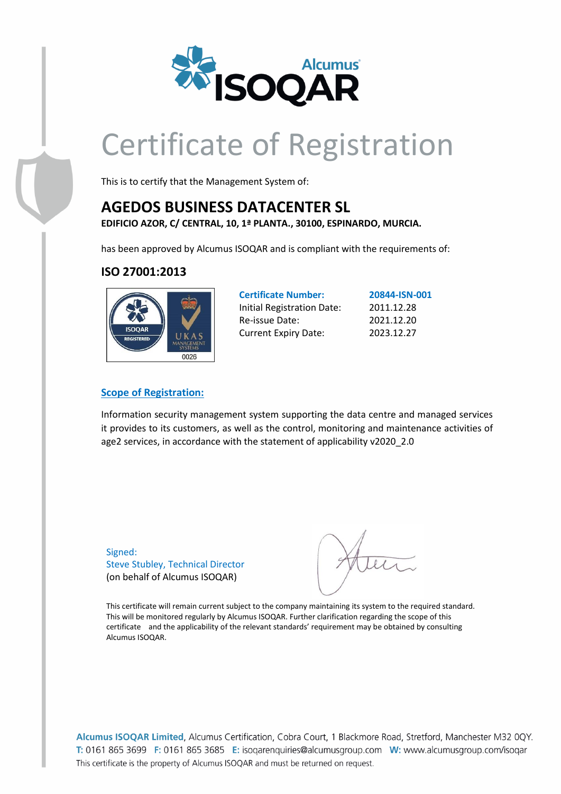

# Certificate of Registration

This is to certify that the Management System of:

### **AGEDOS BUSINESS DATACENTER SL**

**EDIFICIO AZOR, C/ CENTRAL, 10, 1ª PLANTA., 30100, ESPINARDO, MURCIA.**

has been approved by Alcumus ISOQAR and is compliant with the requirements of:

### **ISO 27001:2013**



| <b>Certificate Number:</b>        | 20844-ISN-001 |
|-----------------------------------|---------------|
| <b>Initial Registration Date:</b> | 2011.12.28    |
| Re-issue Date:                    | 2021.12.20    |
| <b>Current Expiry Date:</b>       | 2023.12.27    |

### **Scope of Registration:**

Information security management system supporting the data centre and managed services it provides to its customers, as well as the control, monitoring and maintenance activities of age2 services, in accordance with the statement of applicability v2020\_2.0

Signed: Steve Stubley, Technical Director (on behalf of Alcumus ISOQAR)

This certificate will remain current subject to the company maintaining its system to the required standard. This will be monitored regularly by Alcumus ISOQAR. Further clarification regarding the scope of this certificate and the applicability of the relevant standards' requirement may be obtained by consulting Alcumus ISOQAR.

Alcumus ISOQAR Limited, Alcumus Certification, Cobra Court, 1 Blackmore Road, Stretford, Manchester M32 0QY. T: 0161 865 3699 F: 0161 865 3685 E: isogarenguiries@alcumusgroup.com W: www.alcumusgroup.com/isogar This certificate is the property of Alcumus ISOQAR and must be returned on request.